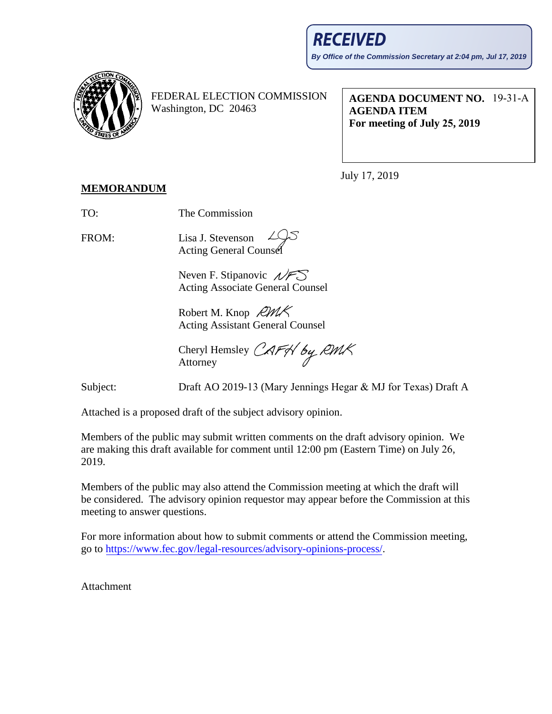

FEDERAL ELECTION COMMISSION Washington, DC 20463

**AGENDA DOCUMENT NO.** 19-31-A **AGENDA ITEM For meeting of July 25, 2019** 

July 17, 2019

## **MEMORANDUM**

TO: The Commission

FROM: Lisa J. Stevenson **Acting General Counse** 

> Neven F. Stipanovic  $\mathcal{N}$ FS Acting Associate General Counsel

Robert M. Knop  $RMK$ Acting Assistant General Counsel

Cheryl Hemsley CAFS by RMK Attorney

Subject: Draft AO 2019-13 (Mary Jennings Hegar & MJ for Texas) Draft A

Attached is a proposed draft of the subject advisory opinion.

Members of the public may submit written comments on the draft advisory opinion. We are making this draft available for comment until 12:00 pm (Eastern Time) on July 26, 2019.

Members of the public may also attend the Commission meeting at which the draft will be considered. The advisory opinion requestor may appear before the Commission at this meeting to answer questions.

For more information about how to submit comments or attend the Commission meeting, go to [https://www.fec.gov/legal-resources/advisory-opinions-process/.](https://www.fec.gov/legal-resources/advisory-opinions-process/)

Attachment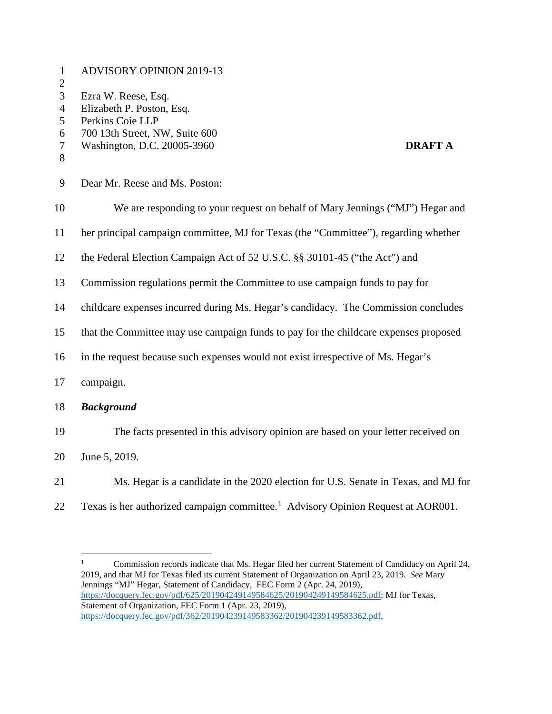| $\mathbf{1}$<br>$\mathbf{2}$                                   | <b>ADVISORY OPINION 2019-13</b>                                                                                                                         |
|----------------------------------------------------------------|---------------------------------------------------------------------------------------------------------------------------------------------------------|
| 3<br>$\overline{4}$<br>5<br>6<br>$\overline{\mathcal{L}}$<br>8 | Ezra W. Reese, Esq.<br>Elizabeth P. Poston, Esq.<br>Perkins Coie LLP<br>700 13th Street, NW, Suite 600<br>Washington, D.C. 20005-3960<br><b>DRAFT A</b> |
| 9                                                              | Dear Mr. Reese and Ms. Poston:                                                                                                                          |
| 10                                                             | We are responding to your request on behalf of Mary Jennings ("MJ") Hegar and                                                                           |
| 11                                                             | her principal campaign committee, MJ for Texas (the "Committee"), regarding whether                                                                     |
| 12                                                             | the Federal Election Campaign Act of 52 U.S.C. §§ 30101-45 ("the Act") and                                                                              |
| 13                                                             | Commission regulations permit the Committee to use campaign funds to pay for                                                                            |
| 14                                                             | childcare expenses incurred during Ms. Hegar's candidacy. The Commission concludes                                                                      |
| 15                                                             | that the Committee may use campaign funds to pay for the childcare expenses proposed                                                                    |
| 16                                                             | in the request because such expenses would not exist irrespective of Ms. Hegar's                                                                        |
| 17                                                             | campaign.                                                                                                                                               |
| 18                                                             | <b>Background</b>                                                                                                                                       |
| 19                                                             | The facts presented in this advisory opinion are based on your letter received on                                                                       |
| 20                                                             | June 5, 2019.                                                                                                                                           |
| 21                                                             | Ms. Hegar is a candidate in the 2020 election for U.S. Senate in Texas, and MJ for                                                                      |

22 Texas is her authorized campaign committee.<sup>[1](#page-1-0)</sup> Advisory Opinion Request at AOR001.

<span id="page-1-0"></span><sup>&</sup>lt;sup>1</sup> Commission records indicate that Ms. Hegar filed her current Statement of Candidacy on April 24, 2019, and that MJ for Texas filed its current Statement of Organization on April 23, 2019. *See* Mary Jennings "MJ" Hegar, Statement of Candidacy, FEC Form 2 (Apr. 24, 2019), [https://docquery.fec.gov/pdf/625/201904249149584625/201904249149584625.pdf;](https://docquery.fec.gov/pdf/625/201904249149584625/201904249149584625.pdf) MJ for Texas, Statement of Organization, FEC Form 1 (Apr. 23, 2019), [https://docquery.fec.gov/pdf/362/201904239149583362/201904239149583362.pdf.](https://docquery.fec.gov/pdf/362/201904239149583362/201904239149583362.pdf)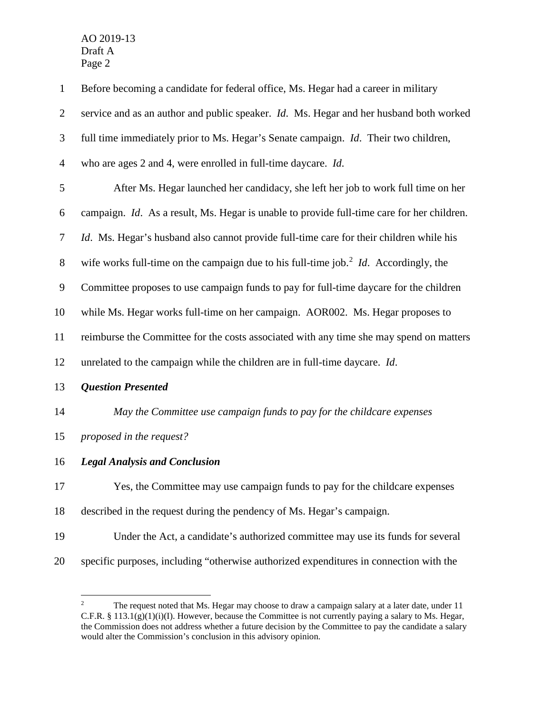| $\mathbf{1}$   | Before becoming a candidate for federal office, Ms. Hegar had a career in military                      |
|----------------|---------------------------------------------------------------------------------------------------------|
| $\overline{2}$ | service and as an author and public speaker. <i>Id.</i> Ms. Hegar and her husband both worked           |
| 3              | full time immediately prior to Ms. Hegar's Senate campaign. <i>Id.</i> Their two children,              |
| $\overline{4}$ | who are ages 2 and 4, were enrolled in full-time daycare. Id.                                           |
| 5              | After Ms. Hegar launched her candidacy, she left her job to work full time on her                       |
| 6              | campaign. Id. As a result, Ms. Hegar is unable to provide full-time care for her children.              |
| 7              | <i>Id.</i> Ms. Hegar's husband also cannot provide full-time care for their children while his          |
| $8\,$          | wife works full-time on the campaign due to his full-time job. <sup>2</sup> <i>Id.</i> Accordingly, the |
| 9              | Committee proposes to use campaign funds to pay for full-time daycare for the children                  |
| 10             | while Ms. Hegar works full-time on her campaign. AOR002. Ms. Hegar proposes to                          |
| 11             | reimburse the Committee for the costs associated with any time she may spend on matters                 |
| 12             | unrelated to the campaign while the children are in full-time daycare. Id.                              |
| 13             | <b>Question Presented</b>                                                                               |
| 14             | May the Committee use campaign funds to pay for the childcare expenses                                  |
| 15             | proposed in the request?                                                                                |
| 16             | <b>Legal Analysis and Conclusion</b>                                                                    |
| 17             | Yes, the Committee may use campaign funds to pay for the childcare expenses                             |
| 18             | described in the request during the pendency of Ms. Hegar's campaign.                                   |
| 19             | Under the Act, a candidate's authorized committee may use its funds for several                         |
| 20             | specific purposes, including "otherwise authorized expenditures in connection with the                  |

<span id="page-2-0"></span><sup>&</sup>lt;sup>2</sup> The request noted that Ms. Hegar may choose to draw a campaign salary at a later date, under 11 C.F.R. § 113.1(g)(1)(i)(I). However, because the Committee is not currently paying a salary to Ms. Hegar, the Commission does not address whether a future decision by the Committee to pay the candidate a salary would alter the Commission's conclusion in this advisory opinion.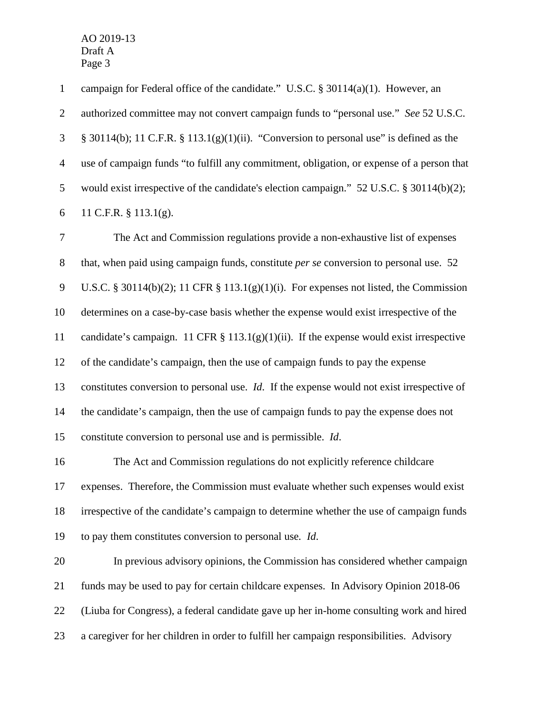campaign for Federal office of the candidate." U.S.C. § 30114(a)(1). However, an authorized committee may not convert campaign funds to "personal use." *See* 52 U.S.C. § 30114(b); 11 C.F.R. § 113.1(g)(1)(ii). "Conversion to personal use" is defined as the use of campaign funds "to fulfill any commitment, obligation, or expense of a person that would exist irrespective of the candidate's election campaign." 52 U.S.C. § 30114(b)(2); 11 C.F.R. § 113.1(g).

 The Act and Commission regulations provide a non-exhaustive list of expenses that, when paid using campaign funds, constitute *per se* conversion to personal use. 52 U.S.C. § 30114(b)(2); 11 CFR § 113.1(g)(1)(i). For expenses not listed, the Commission determines on a case-by-case basis whether the expense would exist irrespective of the candidate's campaign. 11 CFR § 113.1(g)(1)(ii). If the expense would exist irrespective of the candidate's campaign, then the use of campaign funds to pay the expense constitutes conversion to personal use. *Id*. If the expense would not exist irrespective of the candidate's campaign, then the use of campaign funds to pay the expense does not constitute conversion to personal use and is permissible. *Id*.

 The Act and Commission regulations do not explicitly reference childcare expenses. Therefore, the Commission must evaluate whether such expenses would exist irrespective of the candidate's campaign to determine whether the use of campaign funds to pay them constitutes conversion to personal use*. Id*.

 In previous advisory opinions, the Commission has considered whether campaign funds may be used to pay for certain childcare expenses. In Advisory Opinion 2018-06 (Liuba for Congress), a federal candidate gave up her in-home consulting work and hired a caregiver for her children in order to fulfill her campaign responsibilities. Advisory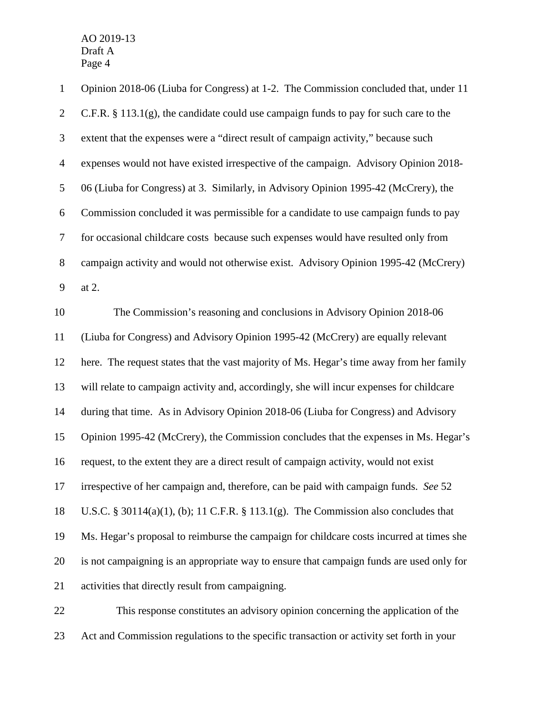| $\mathbf{1}$   | Opinion 2018-06 (Liuba for Congress) at 1-2. The Commission concluded that, under 11     |
|----------------|------------------------------------------------------------------------------------------|
| $\overline{2}$ | C.F.R. $\S$ 113.1(g), the candidate could use campaign funds to pay for such care to the |
| 3              | extent that the expenses were a "direct result of campaign activity," because such       |
| $\overline{4}$ | expenses would not have existed irrespective of the campaign. Advisory Opinion 2018-     |
| 5              | 06 (Liuba for Congress) at 3. Similarly, in Advisory Opinion 1995-42 (McCrery), the      |
| 6              | Commission concluded it was permissible for a candidate to use campaign funds to pay     |
| $\tau$         | for occasional childcare costs because such expenses would have resulted only from       |
| $8\,$          | campaign activity and would not otherwise exist. Advisory Opinion 1995-42 (McCrery)      |
| 9              | at 2.                                                                                    |
| 10             | The Commission's reasoning and conclusions in Advisory Opinion 2018-06                   |
| 11             | (Liuba for Congress) and Advisory Opinion 1995-42 (McCrery) are equally relevant         |
| 12             | here. The request states that the vast majority of Ms. Hegar's time away from her family |
| 13             | will relate to campaign activity and, accordingly, she will incur expenses for childcare |
| 14             | during that time. As in Advisory Opinion 2018-06 (Liuba for Congress) and Advisory       |
| 15             | Opinion 1995-42 (McCrery), the Commission concludes that the expenses in Ms. Hegar's     |
| 16             | request, to the extent they are a direct result of campaign activity, would not exist    |
| 17             | irrespective of her campaign and, therefore, can be paid with campaign funds. See 52     |
| 18             | U.S.C. § 30114(a)(1), (b); 11 C.F.R. § 113.1(g). The Commission also concludes that      |
| 19             | Ms. Hegar's proposal to reimburse the campaign for childcare costs incurred at times she |
| 20             | is not campaigning is an appropriate way to ensure that campaign funds are used only for |
| 21             | activities that directly result from campaigning.                                        |
| $22\,$         | This response constitutes an advisory opinion concerning the application of the          |

Act and Commission regulations to the specific transaction or activity set forth in your